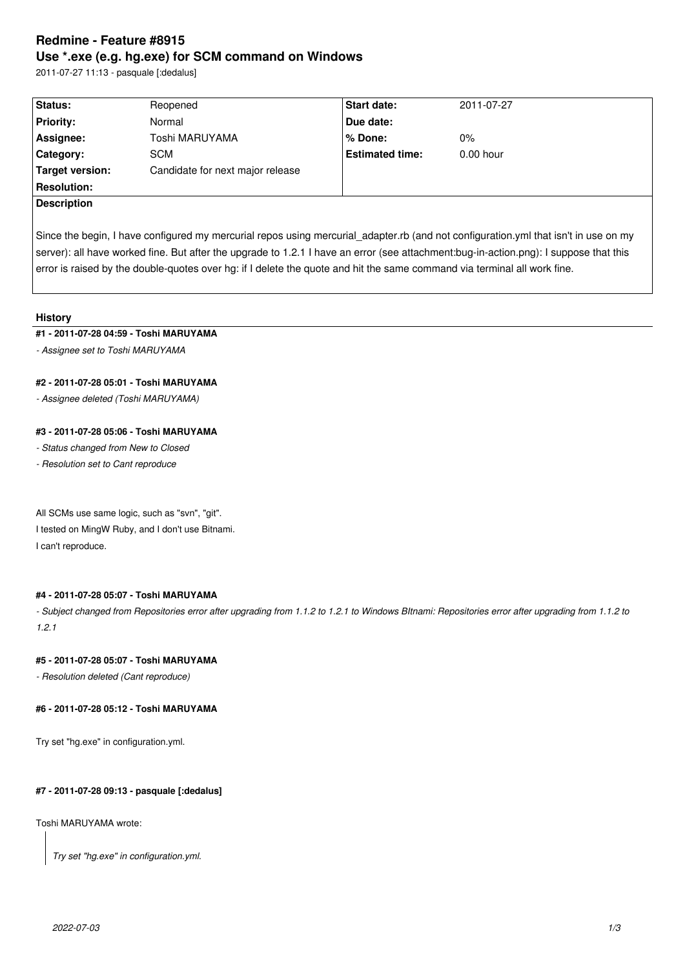# **Redmine - Feature #8915 Use \*.exe (e.g. hg.exe) for SCM command on Windows**

2011-07-27 11:13 - pasquale [:dedalus]

| Status:            | Reopened                         | <b>Start date:</b>     | 2011-07-27  |
|--------------------|----------------------------------|------------------------|-------------|
| <b>Priority:</b>   | Normal                           | Due date:              |             |
| Assignee:          | Toshi MARUYAMA                   | % Done:                | $0\%$       |
| Category:          | <b>SCM</b>                       | <b>Estimated time:</b> | $0.00$ hour |
| Target version:    | Candidate for next major release |                        |             |
| <b>Resolution:</b> |                                  |                        |             |
| Description        |                                  |                        |             |

Since the begin, I have configured my mercurial repos using mercurial\_adapter.rb (and not configuration.yml that isn't in use on my server): all have worked fine. But after the upgrade to 1.2.1 I have an error (see attachment:bug-in-action.png): I suppose that this error is raised by the double-quotes over hg: if I delete the quote and hit the same command via terminal all work fine.

## **History**

#### **#1 - 2011-07-28 04:59 - Toshi MARUYAMA**

*- Assignee set to Toshi MARUYAMA*

## **#2 - 2011-07-28 05:01 - Toshi MARUYAMA**

*- Assignee deleted (Toshi MARUYAMA)*

## **#3 - 2011-07-28 05:06 - Toshi MARUYAMA**

## *- Status changed from New to Closed*

*- Resolution set to Cant reproduce*

All SCMs use same logic, such as "svn", "git". I tested on MingW Ruby, and I don't use Bitnami. I can't reproduce.

#### **#4 - 2011-07-28 05:07 - Toshi MARUYAMA**

- Subject changed from Repositories error after upgrading from 1.1.2 to 1.2.1 to Windows BItnami: Repositories error after upgrading from 1.1.2 to *1.2.1*

# **#5 - 2011-07-28 05:07 - Toshi MARUYAMA**

*- Resolution deleted (Cant reproduce)*

#### **#6 - 2011-07-28 05:12 - Toshi MARUYAMA**

Try set "hg.exe" in configuration.yml.

#### **#7 - 2011-07-28 09:13 - pasquale [:dedalus]**

Toshi MARUYAMA wrote:

*Try set "hg.exe" in configuration.yml.*